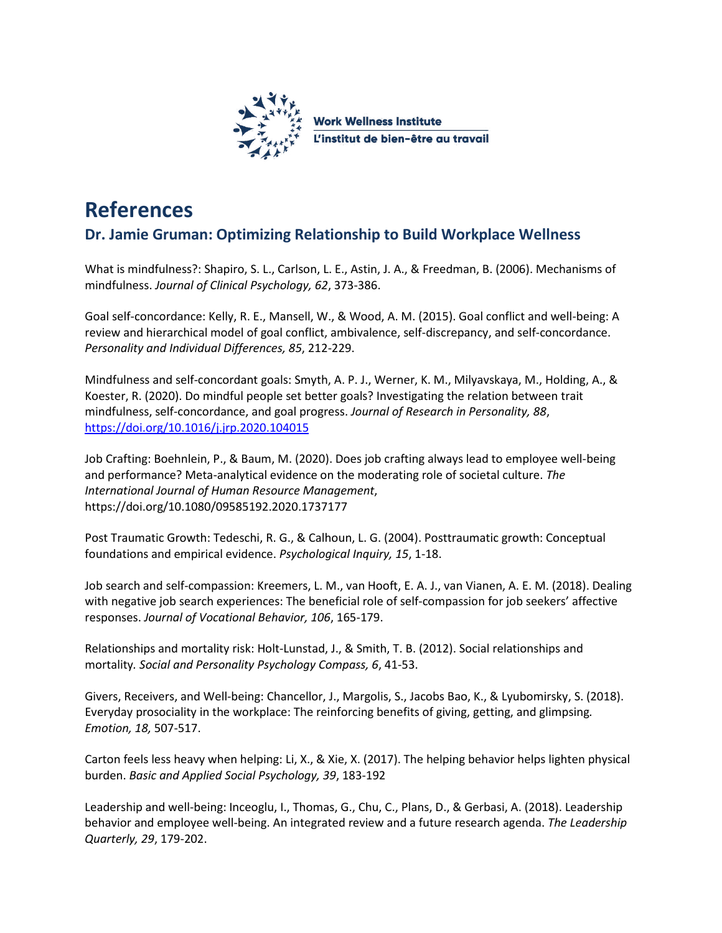

## **References**

## **Dr. Jamie Gruman: Optimizing Relationship to Build Workplace Wellness**

What is mindfulness?: Shapiro, S. L., Carlson, L. E., Astin, J. A., & Freedman, B. (2006). Mechanisms of mindfulness. *Journal of Clinical Psychology, 62*, 373-386.

Goal self-concordance: Kelly, R. E., Mansell, W., & Wood, A. M. (2015). Goal conflict and well-being: A review and hierarchical model of goal conflict, ambivalence, self-discrepancy, and self-concordance. *Personality and Individual Differences, 85*, 212-229.

Mindfulness and self-concordant goals: Smyth, A. P. J., Werner, K. M., Milyavskaya, M., Holding, A., & Koester, R. (2020). Do mindful people set better goals? Investigating the relation between trait mindfulness, self-concordance, and goal progress. *Journal of Research in Personality, 88*, <https://doi.org/10.1016/j.jrp.2020.104015>

Job Crafting: Boehnlein, P., & Baum, M. (2020). Does job crafting always lead to employee well-being and performance? Meta-analytical evidence on the moderating role of societal culture. *The International Journal of Human Resource Management*, https://doi.org/10.1080/09585192.2020.1737177

Post Traumatic Growth: Tedeschi, R. G., & Calhoun, L. G. (2004). Posttraumatic growth: Conceptual foundations and empirical evidence. *Psychological Inquiry, 15*, 1-18.

Job search and self-compassion: Kreemers, L. M., van Hooft, E. A. J., van Vianen, A. E. M. (2018). Dealing with negative job search experiences: The beneficial role of self-compassion for job seekers' affective responses. *Journal of Vocational Behavior, 106*, 165-179.

Relationships and mortality risk: Holt-Lunstad, J., & Smith, T. B. (2012). Social relationships and mortality*. Social and Personality Psychology Compass, 6*, 41-53.

Givers, Receivers, and Well-being: Chancellor, J., Margolis, S., Jacobs Bao, K., & Lyubomirsky, S. (2018). Everyday prosociality in the workplace: The reinforcing benefits of giving, getting, and glimpsing*. Emotion, 18,* 507-517.

Carton feels less heavy when helping: Li, X., & Xie, X. (2017). The helping behavior helps lighten physical burden. *Basic and Applied Social Psychology, 39*, 183-192

Leadership and well-being: Inceoglu, I., Thomas, G., Chu, C., Plans, D., & Gerbasi, A. (2018). Leadership behavior and employee well-being. An integrated review and a future research agenda. *The Leadership Quarterly, 29*, 179-202.